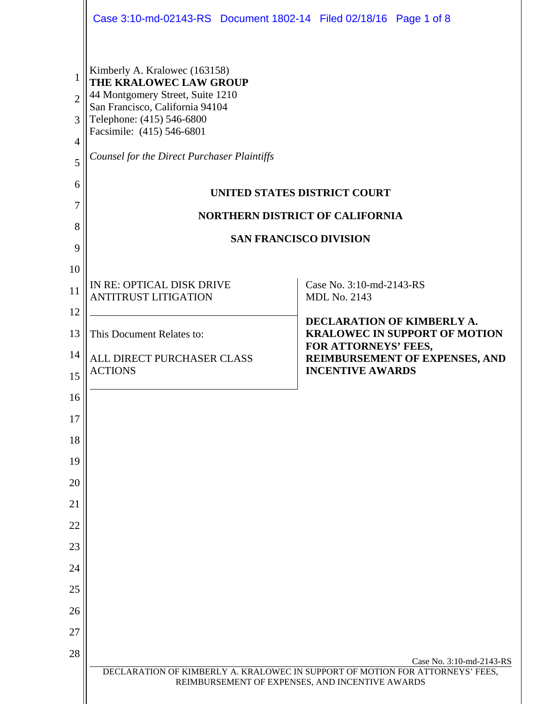|                                                                | Case 3:10-md-02143-RS Document 1802-14 Filed 02/18/16 Page 1 of 8                                                                                                                                                                       |                                                                                                                                                              |
|----------------------------------------------------------------|-----------------------------------------------------------------------------------------------------------------------------------------------------------------------------------------------------------------------------------------|--------------------------------------------------------------------------------------------------------------------------------------------------------------|
| 1<br>$\overline{2}$<br>3<br>$\overline{4}$<br>5<br>6<br>7<br>8 | Kimberly A. Kralowec (163158)<br>THE KRALOWEC LAW GROUP<br>44 Montgomery Street, Suite 1210<br>San Francisco, California 94104<br>Telephone: (415) 546-6800<br>Facsimile: (415) 546-6801<br>Counsel for the Direct Purchaser Plaintiffs | <b>UNITED STATES DISTRICT COURT</b><br><b>NORTHERN DISTRICT OF CALIFORNIA</b><br><b>SAN FRANCISCO DIVISION</b>                                               |
| 9                                                              |                                                                                                                                                                                                                                         |                                                                                                                                                              |
| 10<br>11                                                       | IN RE: OPTICAL DISK DRIVE<br><b>ANTITRUST LITIGATION</b>                                                                                                                                                                                | Case No. 3:10-md-2143-RS<br><b>MDL No. 2143</b>                                                                                                              |
| 12<br>13<br>14<br>15                                           | This Document Relates to:<br>ALL DIRECT PURCHASER CLASS<br><b>ACTIONS</b>                                                                                                                                                               | DECLARATION OF KIMBERLY A.<br><b>KRALOWEC IN SUPPORT OF MOTION</b><br>FOR ATTORNEYS' FEES,<br>REIMBURSEMENT OF EXPENSES, AND<br><b>INCENTIVE AWARDS</b>      |
| 16<br>17<br>18                                                 |                                                                                                                                                                                                                                         |                                                                                                                                                              |
| 19                                                             |                                                                                                                                                                                                                                         |                                                                                                                                                              |
| 20                                                             |                                                                                                                                                                                                                                         |                                                                                                                                                              |
| 21                                                             |                                                                                                                                                                                                                                         |                                                                                                                                                              |
| 22                                                             |                                                                                                                                                                                                                                         |                                                                                                                                                              |
| 23                                                             |                                                                                                                                                                                                                                         |                                                                                                                                                              |
| 24                                                             |                                                                                                                                                                                                                                         |                                                                                                                                                              |
| 25                                                             |                                                                                                                                                                                                                                         |                                                                                                                                                              |
| 26                                                             |                                                                                                                                                                                                                                         |                                                                                                                                                              |
| 27                                                             |                                                                                                                                                                                                                                         |                                                                                                                                                              |
| 28                                                             |                                                                                                                                                                                                                                         | Case No. 3:10-md-2143-RS<br>DECLARATION OF KIMBERLY A. KRALOWEC IN SUPPORT OF MOTION FOR ATTORNEYS' FEES,<br>REIMBURSEMENT OF EXPENSES, AND INCENTIVE AWARDS |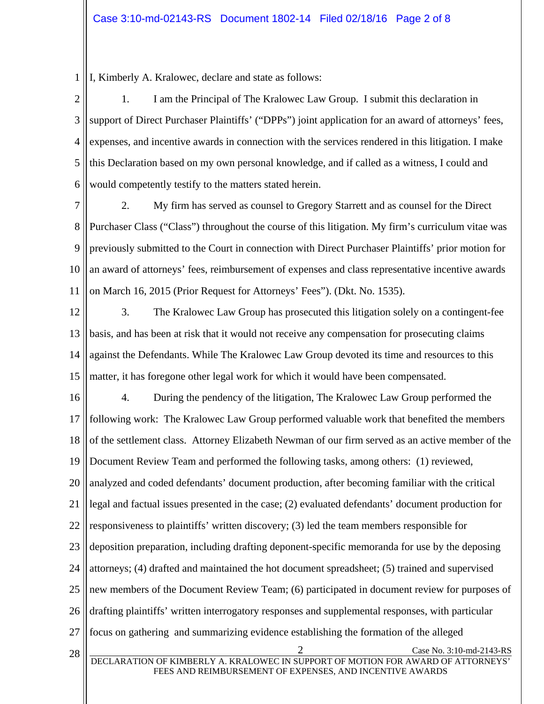1 I, Kimberly A. Kralowec, declare and state as follows:

2 3 4 5 6 1. I am the Principal of The Kralowec Law Group. I submit this declaration in support of Direct Purchaser Plaintiffs' ("DPPs") joint application for an award of attorneys' fees, expenses, and incentive awards in connection with the services rendered in this litigation. I make this Declaration based on my own personal knowledge, and if called as a witness, I could and would competently testify to the matters stated herein.

7 8 9 10 11 2. My firm has served as counsel to Gregory Starrett and as counsel for the Direct Purchaser Class ("Class") throughout the course of this litigation. My firm's curriculum vitae was previously submitted to the Court in connection with Direct Purchaser Plaintiffs' prior motion for an award of attorneys' fees, reimbursement of expenses and class representative incentive awards on March 16, 2015 (Prior Request for Attorneys' Fees"). (Dkt. No. 1535).

12 13 14 15 3. The Kralowec Law Group has prosecuted this litigation solely on a contingent-fee basis, and has been at risk that it would not receive any compensation for prosecuting claims against the Defendants. While The Kralowec Law Group devoted its time and resources to this matter, it has foregone other legal work for which it would have been compensated.

16 17 18 19 20 21 22 23 24 25 26 27 28 Case No. 3:10-md-2143-RS<br>DECLARATION OF KIMBERLY A. KRALOWEC IN SUPPORT OF MOTION FOR AWARD OF ATTORNEYS' FEES AND REIMBURSEMENT OF EXPENSES, AND INCENTIVE AWARDS 4. During the pendency of the litigation, The Kralowec Law Group performed the following work: The Kralowec Law Group performed valuable work that benefited the members of the settlement class. Attorney Elizabeth Newman of our firm served as an active member of the Document Review Team and performed the following tasks, among others: (1) reviewed, analyzed and coded defendants' document production, after becoming familiar with the critical legal and factual issues presented in the case; (2) evaluated defendants' document production for responsiveness to plaintiffs' written discovery; (3) led the team members responsible for deposition preparation, including drafting deponent-specific memoranda for use by the deposing attorneys; (4) drafted and maintained the hot document spreadsheet; (5) trained and supervised new members of the Document Review Team; (6) participated in document review for purposes of drafting plaintiffs' written interrogatory responses and supplemental responses, with particular focus on gathering and summarizing evidence establishing the formation of the alleged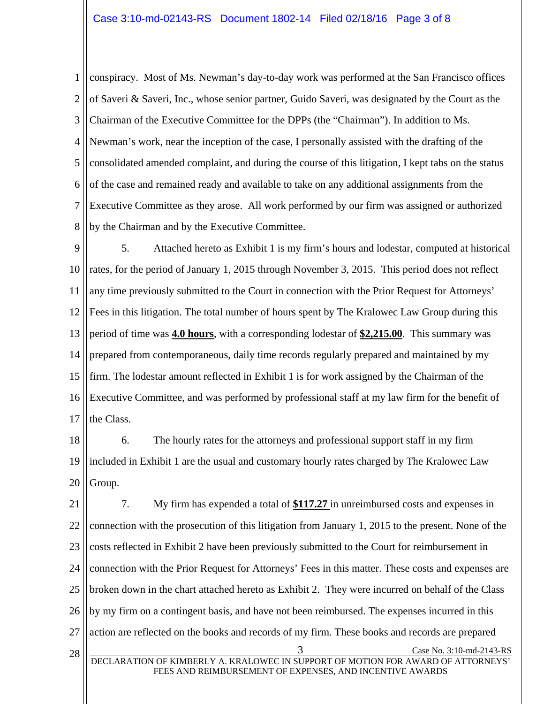1 2 3 4 5 6 7 8 conspiracy. Most of Ms. Newman's day-to-day work was performed at the San Francisco offices of Saveri & Saveri, Inc., whose senior partner, Guido Saveri, was designated by the Court as the Chairman of the Executive Committee for the DPPs (the "Chairman"). In addition to Ms. Newman's work, near the inception of the case, I personally assisted with the drafting of the consolidated amended complaint, and during the course of this litigation, I kept tabs on the status of the case and remained ready and available to take on any additional assignments from the Executive Committee as they arose. All work performed by our firm was assigned or authorized by the Chairman and by the Executive Committee.

9 10 11 12 13 14 15 16 17 5. Attached hereto as Exhibit 1 is my firm's hours and lodestar, computed at historical rates, for the period of January 1, 2015 through November 3, 2015. This period does not reflect any time previously submitted to the Court in connection with the Prior Request for Attorneys' Fees in this litigation. The total number of hours spent by The Kralowec Law Group during this period of time was **4.0 hours**, with a corresponding lodestar of **\$2,215.00**. This summary was prepared from contemporaneous, daily time records regularly prepared and maintained by my firm. The lodestar amount reflected in Exhibit 1 is for work assigned by the Chairman of the Executive Committee, and was performed by professional staff at my law firm for the benefit of the Class.

18 19 20 6. The hourly rates for the attorneys and professional support staff in my firm included in Exhibit 1 are the usual and customary hourly rates charged by The Kralowec Law Group.

21 22 23 24 25 26 27 28 Case No. 3:10-md-2143-RS<br>DECLARATION OF KIMBERLY A. KRALOWEC IN SUPPORT OF MOTION FOR AWARD OF ATTORNEYS' FEES AND REIMBURSEMENT OF EXPENSES, AND INCENTIVE AWARDS 7. My firm has expended a total of **\$117.27** in unreimbursed costs and expenses in connection with the prosecution of this litigation from January 1, 2015 to the present. None of the costs reflected in Exhibit 2 have been previously submitted to the Court for reimbursement in connection with the Prior Request for Attorneys' Fees in this matter. These costs and expenses are broken down in the chart attached hereto as Exhibit 2. They were incurred on behalf of the Class by my firm on a contingent basis, and have not been reimbursed. The expenses incurred in this action are reflected on the books and records of my firm. These books and records are prepared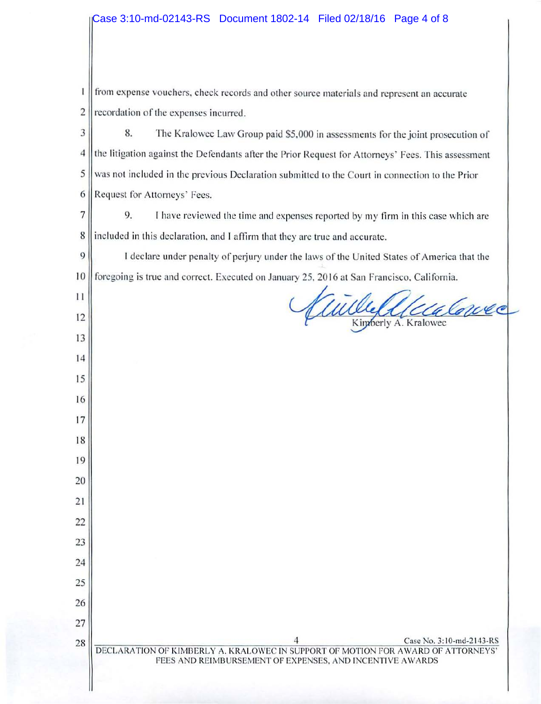$\mathbf{I}$ from expense vouchers, check records and other source materials and represent an accurate  $2$  recordation of the expenses incurred.

3 8. The Kralowec Law Group paid \$5,000 in assessments for the joint prosecution of 4 the litigation against the Defendants after the Prior Request for Attorneys' Fees. This assessment 5 was not included in the previous Declaration submitted to the Court in connection to the Prior 6 || Request for Attorneys' Fees.

 $7 \parallel$  9. I have reviewed the time and expenses reported by my firm in this case which are 8 included in this declaration, and I affirm that they are true and accurate.

9 || I declare under penalty of perjury under the laws of the United States of America that the 10 foregoing is true and correct. Executed on January 25, 2016 at San Francisco, California.

I I

12

13

14

15

16

17

18

19

20

21

22

23

24

25

26

27

Conce Kimberly A. Kralowec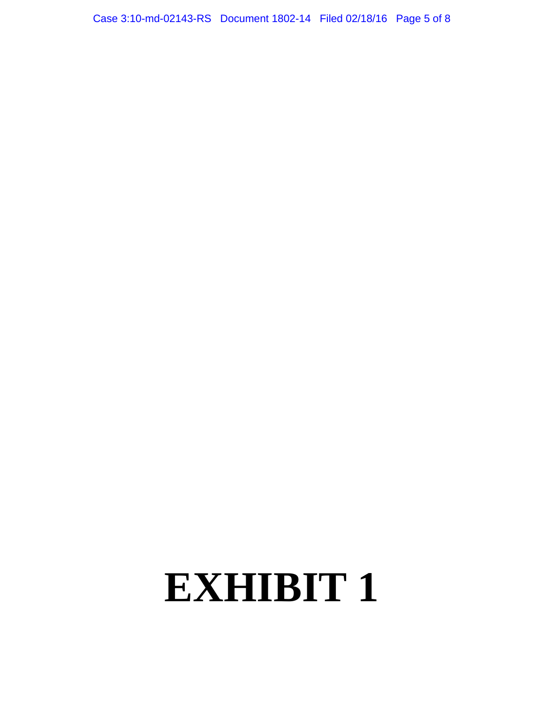Case 3:10-md-02143-RS Document 1802-14 Filed 02/18/16 Page 5 of 8

# **EXHIBIT 1**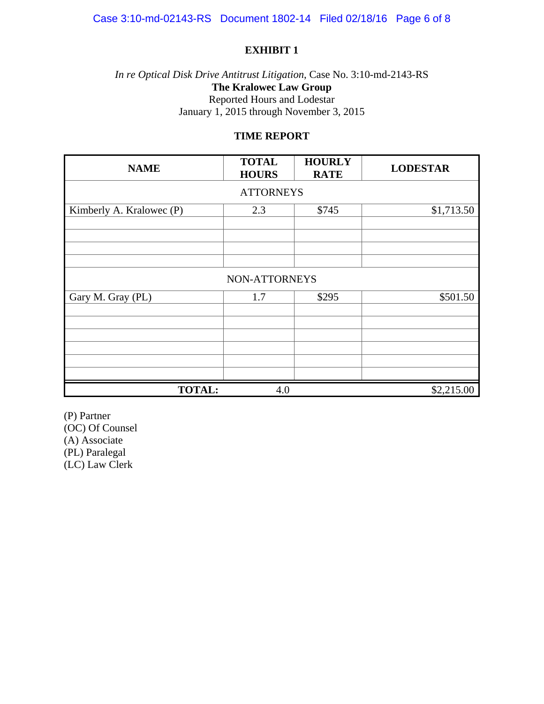### **EXHIBIT 1**

### *In re Optical Disk Drive Antitrust Litigation*, Case No. 3:10-md-2143-RS **The Kralowec Law Group**  Reported Hours and Lodestar January 1, 2015 through November 3, 2015

#### **TIME REPORT**

| <b>NAME</b>              | <b>TOTAL</b><br><b>HOURS</b> | <b>HOURLY</b><br><b>RATE</b> | <b>LODESTAR</b> |  |  |
|--------------------------|------------------------------|------------------------------|-----------------|--|--|
| <b>ATTORNEYS</b>         |                              |                              |                 |  |  |
| Kimberly A. Kralowec (P) | 2.3                          | \$745                        | \$1,713.50      |  |  |
|                          |                              |                              |                 |  |  |
|                          |                              |                              |                 |  |  |
|                          |                              |                              |                 |  |  |
| NON-ATTORNEYS            |                              |                              |                 |  |  |
| Gary M. Gray (PL)        | 1.7                          | \$295                        | \$501.50        |  |  |
|                          |                              |                              |                 |  |  |
|                          |                              |                              |                 |  |  |
|                          |                              |                              |                 |  |  |
|                          |                              |                              |                 |  |  |
|                          |                              |                              |                 |  |  |
| <b>TOTAL:</b>            | 4.0                          |                              | \$2,215.00      |  |  |

(P) Partner (OC) Of Counsel (A) Associate (PL) Paralegal (LC) Law Clerk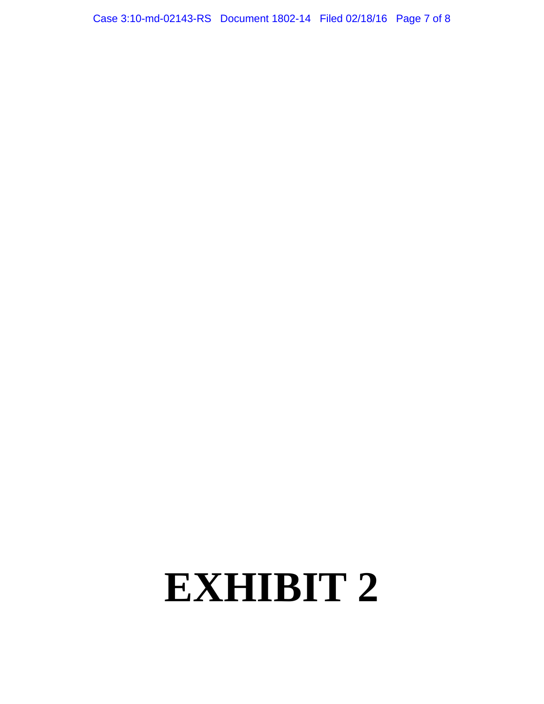Case 3:10-md-02143-RS Document 1802-14 Filed 02/18/16 Page 7 of 8

# **EXHIBIT 2**